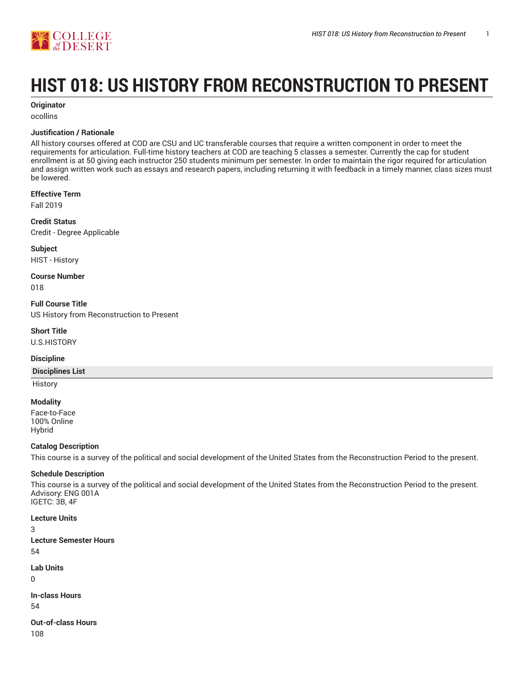

# **HIST 018: US HISTORY FROM RECONSTRUCTION TO PRESENT**

#### **Originator**

ocollins

#### **Justification / Rationale**

All history courses offered at COD are CSU and UC transferable courses that require a written component in order to meet the requirements for articulation. Full-time history teachers at COD are teaching 5 classes a semester. Currently the cap for student enrollment is at 50 giving each instructor 250 students minimum per semester. In order to maintain the rigor required for articulation and assign written work such as essays and research papers, including returning it with feedback in a timely manner, class sizes must be lowered.

#### **Effective Term**

Fall 2019

**Credit Status** Credit - Degree Applicable

**Subject** HIST - History

**Course Number**

018

**Full Course Title** US History from Reconstruction to Present

**Short Title**

U.S.HISTORY

#### **Discipline**

#### **Disciplines List**

**History** 

#### **Modality**

Face-to-Face 100% Online Hybrid

#### **Catalog Description**

This course is a survey of the political and social development of the United States from the Reconstruction Period to the present.

## **Schedule Description**

This course is a survey of the political and social development of the United States from the Reconstruction Period to the present. Advisory: ENG 001A IGETC: 3B, 4F

#### **Lecture Units**

3 **Lecture Semester Hours** 54

**Lab Units** 0

**In-class Hours** 54

**Out-of-class Hours** 108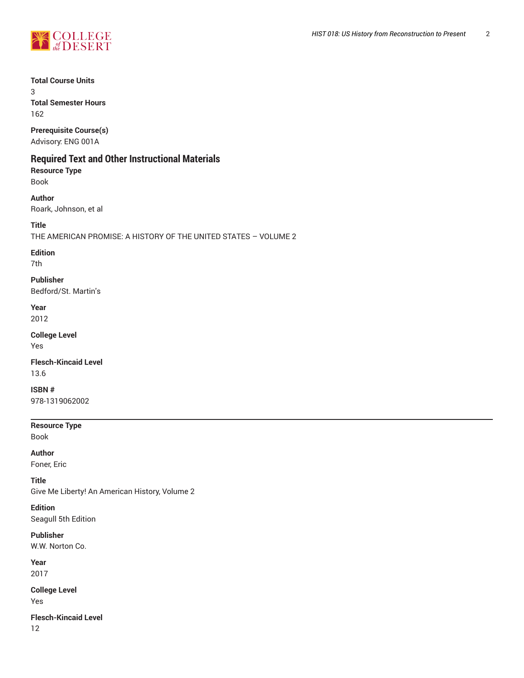

**Total Course Units**

3 **Total Semester Hours** 162

**Prerequisite Course(s)**

Advisory: ENG 001A

# **Required Text and Other Instructional Materials**

**Resource Type** Book

**Author** Roark, Johnson, et al

**Title**

THE AMERICAN PROMISE: A HISTORY OF THE UNITED STATES – VOLUME 2

**Edition**

7th

**Publisher** Bedford/St. Martin's

**Year** 2012

**College Level** Yes

**Flesch-Kincaid Level** 13.6

**ISBN #** 978-1319062002

**Resource Type**

Book

**Author**

Foner, Eric

**Title**

Give Me Liberty! An American History, Volume 2

**Edition** Seagull 5th Edition

**Publisher** W.W. Norton Co.

**Year**

2017

**College Level** Yes

**Flesch-Kincaid Level** 12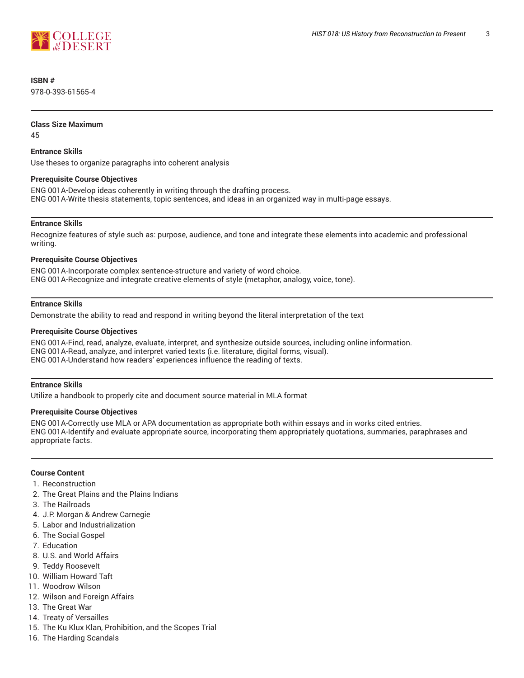

## **ISBN #**

978-0-393-61565-4

#### **Class Size Maximum**

45

#### **Entrance Skills**

Use theses to organize paragraphs into coherent analysis

#### **Prerequisite Course Objectives**

ENG 001A-Develop ideas coherently in writing through the drafting process. ENG 001A-Write thesis statements, topic sentences, and ideas in an organized way in multi-page essays.

#### **Entrance Skills**

Recognize features of style such as: purpose, audience, and tone and integrate these elements into academic and professional writing.

#### **Prerequisite Course Objectives**

ENG 001A-Incorporate complex sentence-structure and variety of word choice. ENG 001A-Recognize and integrate creative elements of style (metaphor, analogy, voice, tone).

#### **Entrance Skills**

Demonstrate the ability to read and respond in writing beyond the literal interpretation of the text

#### **Prerequisite Course Objectives**

ENG 001A-Find, read, analyze, evaluate, interpret, and synthesize outside sources, including online information. ENG 001A-Read, analyze, and interpret varied texts (i.e. literature, digital forms, visual). ENG 001A-Understand how readers' experiences influence the reading of texts.

#### **Entrance Skills**

Utilize a handbook to properly cite and document source material in MLA format

#### **Prerequisite Course Objectives**

ENG 001A-Correctly use MLA or APA documentation as appropriate both within essays and in works cited entries. ENG 001A-Identify and evaluate appropriate source, incorporating them appropriately quotations, summaries, paraphrases and appropriate facts.

#### **Course Content**

- 1. Reconstruction
- 2. The Great Plains and the Plains Indians
- 3. The Railroads
- 4. J.P. Morgan & Andrew Carnegie
- 5. Labor and Industrialization
- 6. The Social Gospel
- 7. Education
- 8. U.S. and World Affairs
- 9. Teddy Roosevelt
- 10. William Howard Taft
- 11. Woodrow Wilson
- 12. Wilson and Foreign Affairs
- 13. The Great War
- 14. Treaty of Versailles
- 15. The Ku Klux Klan, Prohibition, and the Scopes Trial
- 16. The Harding Scandals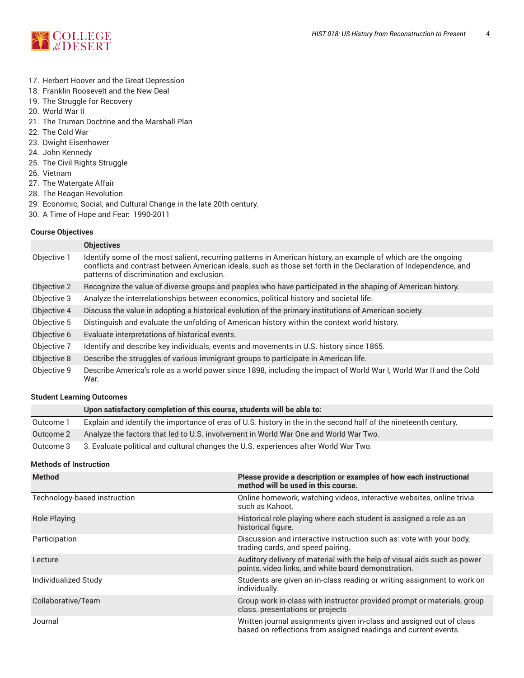

- 17. Herbert Hoover and the Great Depression
- 18. Franklin Roosevelt and the New Deal
- 19. The Struggle for Recovery
- 20. World War II
- 21. The Truman Doctrine and the Marshall Plan
- 22. The Cold War
- 23. Dwight Eisenhower
- 24. John Kennedy
- 25. The Civil Rights Struggle
- 26. Vietnam
- 27. The Watergate Affair
- 28. The Reagan Revolution
- 29. Economic, Social, and Cultural Change in the late 20th century.
- 30. A Time of Hope and Fear: 1990-2011

#### **Course Objectives**

|             | <b>Objectives</b>                                                                                                                                                                                                                                                              |
|-------------|--------------------------------------------------------------------------------------------------------------------------------------------------------------------------------------------------------------------------------------------------------------------------------|
| Objective 1 | Identify some of the most salient, recurring patterns in American history, an example of which are the ongoing<br>conflicts and contrast between American ideals, such as those set forth in the Declaration of Independence, and<br>patterns of discrimination and exclusion. |
| Objective 2 | Recognize the value of diverse groups and peoples who have participated in the shaping of American history.                                                                                                                                                                    |
| Objective 3 | Analyze the interrelationships between economics, political history and societal life.                                                                                                                                                                                         |
| Objective 4 | Discuss the value in adopting a historical evolution of the primary institutions of American society.                                                                                                                                                                          |
| Objective 5 | Distinguish and evaluate the unfolding of American history within the context world history.                                                                                                                                                                                   |
| Objective 6 | Evaluate interpretations of historical events.                                                                                                                                                                                                                                 |
| Objective 7 | Identify and describe key individuals, events and movements in U.S. history since 1865.                                                                                                                                                                                        |
| Objective 8 | Describe the struggles of various immigrant groups to participate in American life.                                                                                                                                                                                            |
| Objective 9 | Describe America's role as a world power since 1898, including the impact of World War I, World War II and the Cold<br>War.                                                                                                                                                    |

#### **Student Learning Outcomes**

|           | Upon satisfactory completion of this course, students will be able to:                                           |
|-----------|------------------------------------------------------------------------------------------------------------------|
| Outcome 1 | Explain and identify the importance of eras of U.S. history in the in the second half of the nineteenth century. |
| Outcome 2 | Analyze the factors that led to U.S. involvement in World War One and World War Two.                             |
| Outcome 3 | 3. Evaluate political and cultural changes the U.S. experiences after World War Two.                             |

#### **Methods of Instruction**

| <b>Method</b>                | Please provide a description or examples of how each instructional<br>method will be used in this course.                               |
|------------------------------|-----------------------------------------------------------------------------------------------------------------------------------------|
| Technology-based instruction | Online homework, watching videos, interactive websites, online trivia<br>such as Kahoot.                                                |
| <b>Role Playing</b>          | Historical role playing where each student is assigned a role as an<br>historical figure.                                               |
| Participation                | Discussion and interactive instruction such as: vote with your body,<br>trading cards, and speed pairing.                               |
| Lecture                      | Auditory delivery of material with the help of visual aids such as power<br>points, video links, and white board demonstration.         |
| Individualized Study         | Students are given an in-class reading or writing assignment to work on<br>individually.                                                |
| Collaborative/Team           | Group work in-class with instructor provided prompt or materials, group<br>class. presentations or projects                             |
| Journal                      | Written journal assignments given in-class and assigned out of class<br>based on reflections from assigned readings and current events. |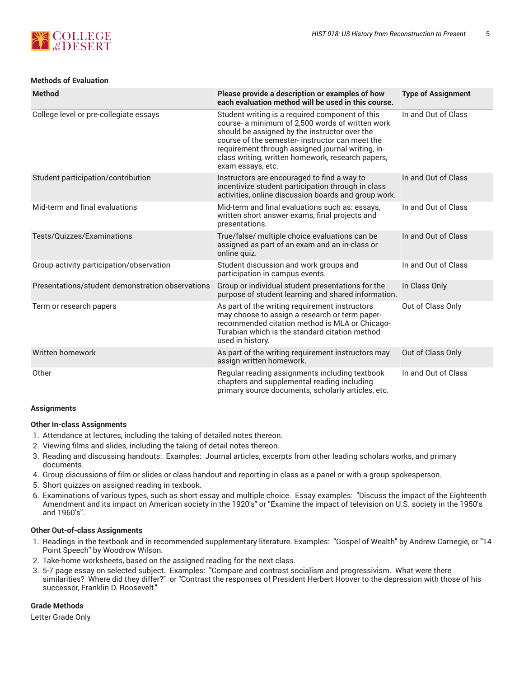

#### **Methods of Evaluation**

| <b>Method</b>                                    | Please provide a description or examples of how<br>each evaluation method will be used in this course.                                                                                                                                                                                                                                | <b>Type of Assignment</b> |
|--------------------------------------------------|---------------------------------------------------------------------------------------------------------------------------------------------------------------------------------------------------------------------------------------------------------------------------------------------------------------------------------------|---------------------------|
| College level or pre-collegiate essays           | Student writing is a required component of this<br>course- a minimum of 2,500 words of written work<br>should be assigned by the instructor over the<br>course of the semester-instructor can meet the<br>requirement through assigned journal writing, in-<br>class writing, written homework, research papers,<br>exam essays, etc. | In and Out of Class       |
| Student participation/contribution               | Instructors are encouraged to find a way to<br>incentivize student participation through in class<br>activities, online discussion boards and group work.                                                                                                                                                                             | In and Out of Class       |
| Mid-term and final evaluations                   | Mid-term and final evaluations such as: essays,<br>written short answer exams, final projects and<br>presentations.                                                                                                                                                                                                                   | In and Out of Class       |
| Tests/Quizzes/Examinations                       | True/false/ multiple choice evaluations can be<br>assigned as part of an exam and an in-class or<br>online quiz.                                                                                                                                                                                                                      | In and Out of Class       |
| Group activity participation/observation         | Student discussion and work groups and<br>participation in campus events.                                                                                                                                                                                                                                                             | In and Out of Class       |
| Presentations/student demonstration observations | Group or individual student presentations for the<br>purpose of student learning and shared information.                                                                                                                                                                                                                              | In Class Only             |
| Term or research papers                          | As part of the writing requirement instructors<br>may choose to assign a research or term paper-<br>recommended citation method is MLA or Chicago-<br>Turabian which is the standard citation method<br>used in history.                                                                                                              | Out of Class Only         |
| Written homework                                 | As part of the writing requirement instructors may<br>assign written homework.                                                                                                                                                                                                                                                        | Out of Class Only         |
| Other                                            | Regular reading assignments including textbook<br>chapters and supplemental reading including<br>primary source documents, scholarly articles, etc.                                                                                                                                                                                   | In and Out of Class       |

#### **Assignments**

#### **Other In-class Assignments**

- 1. Attendance at lectures, including the taking of detailed notes thereon.
- 2. Viewing films and slides, including the taking of detail notes thereon.
- 3. Reading and discussing handouts: Examples: Journal articles, excerpts from other leading scholars works, and primary documents.
- 4. Group discussions of film or slides or class handout and reporting in class as a panel or with a group spokesperson.
- 5. Short quizzes on assigned reading in texbook.
- 6. Examinations of various types, such as short essay and multiple choice. Essay examples: "Discuss the impact of the Eighteenth Amendment and its impact on American society in the 1920's" or "Examine the impact of television on U.S. society in the 1950's and 1960's".

#### **Other Out-of-class Assignments**

- 1. Readings in the textbook and in recommended supplementary literature. Examples: "Gospel of Wealth" by Andrew Carnegie, or "14 Point Speech" by Woodrow Wilson.
- 2. Take-home worksheets, based on the assigned reading for the next class.
- 3. 5-7 page essay on selected subject. Examples: "Compare and contrast socialism and progressivism. What were there similarities? Where did they differ?" or "Contrast the responses of President Herbert Hoover to the depression with those of his successor, Franklin D. Roosevelt."

#### **Grade Methods**

Letter Grade Only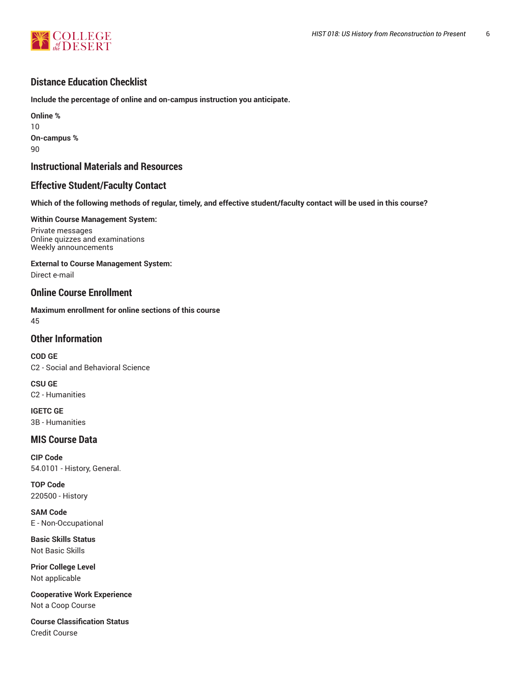

# **Distance Education Checklist**

**Include the percentage of online and on-campus instruction you anticipate.**

**Online %** 10 **On-campus %** 90

# **Instructional Materials and Resources**

# **Effective Student/Faculty Contact**

Which of the following methods of regular, timely, and effective student/faculty contact will be used in this course?

#### **Within Course Management System:**

Private messages Online quizzes and examinations Weekly announcements

#### **External to Course Management System:**

Direct e-mail

# **Online Course Enrollment**

**Maximum enrollment for online sections of this course** 45

# **Other Information**

**COD GE** C2 - Social and Behavioral Science

**CSU GE** C2 - Humanities

**IGETC GE** 3B - Humanities

# **MIS Course Data**

**CIP Code** 54.0101 - History, General.

**TOP Code** 220500 - History

**SAM Code** E - Non-Occupational

**Basic Skills Status** Not Basic Skills

**Prior College Level** Not applicable

**Cooperative Work Experience** Not a Coop Course

**Course Classification Status** Credit Course